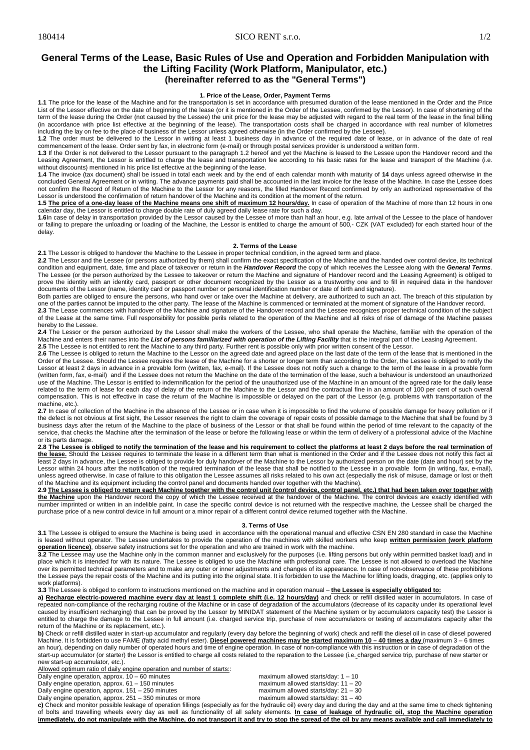## 180414 SICO RENT s.r.o. 1/2

# **General Terms of the Lease, Basic Rules of Use and Operation and Forbidden Manipulation with the Lifting Facility (Work Platform, Manipulator, etc.) (hereinafter referred to as the "General Terms")**

## **1. Price of the Lease, Order, Payment Terms**

**1.1** The price for the lease of the Machine and for the transportation is set in accordance with presumed duration of the lease mentioned in the Order and the Price List of the Lessor effective on the date of beginning of the lease (or it is mentioned in the Order of the Lessee, confirmed by the Lessor). In case of shortening of the term of the lease during the Order (not caused by the Lessee) the unit price for the lease may be adjusted with regard to the real term of the lease in the final billing (in accordance with price list effective at the beginning of the lease). The transportation costs shall be charged in accordance with real number of kilometres including the lay on fee to the place of business of the Lessor unless agreed otherwise (in the Order confirmed by the Lessee).

**1.2** The order must be delivered to the Lessor in writing at least 1 business day in advance of the required date of lease, or in advance of the date of real commencement of the lease. Order sent by fax, in electronic form (e-mail) or through postal services provider is understood a written form.<br>**1.3** If the Order is not delivered to the Lessor pursuant to the paragraph 1.2 he

Leasing Agreement, the Lessor is entitled to charge the lease and transportation fee according to his basic rates for the lease and transport of the Machine (i.e. without discounts) mentioned in his price list effective at the beginning of the lease.

**1.4** The invoice (tax document) shall be issued in total each week and by the end of each calendar month with maturity of **14** days unless agreed otherwise in the concluded General Agreement or in writing. The advance payments paid shall be accounted in the last invoice for the lease of the Machine. In case the Lessee does not confirm the Record of Return of the Machine to the Lessor for any reasons, the filled Handover Record confirmed by only an authorized representative of the

Lessor is understood the confirmation of return handover of the Machine and its condition at the moment of the return.<br>**1.5 <u>The price of a one-day lease of the Machine means one shift of maximum 12 hours/day.** In case of </u> calendar day, the Lessor is entitled to charge double rate of duly agreed daily lease rate for such a day.

**1.6**In case of delay in transportation provided by the Lessor caused by the Lessee of more than half an hour, e.g. late arrival of the Lessee to the place of handover or failing to prepare the unloading or loading of the Machine, the Lessor is entitled to charge the amount of 500,- CZK (VAT excluded) for each started hour of the delay.

#### **2. Terms of the Lease**

**2.1** The Lessor is obliged to handover the Machine to the Lessee in proper technical condition, in the agreed term and place.

**2.2** The Lessor and the Lessee (or persons authorized by them) shall confirm the exact specification of the Machine and the handed over control device, its technical condition and equipment, date, time and place of takeover or return in the *Handover Record* the copy of which receives the Lessee along with the *General Terms*. The Lessee (or the person authorized by the Lessee to takeover or return the Machine and signature of Handover record and the Leasing Agreement) is obliged to prove the identity with an identity card, passport or other document recognized by the Lessor as a trustworthy one and to fill in required data in the handover documents of the Lessor (name, identity card or passport number or personal identification number or date of birth and signature).

Both parties are obliged to ensure the persons, who hand over or take over the Machine at delivery, are authorized to such an act. The breach of this stipulation by one of the parties cannot be imputed to the other party. The lease of the Machine is commenced or terminated at the moment of signature of the Handover record.<br>2.3 The Lease commences with handover of the Machine and signa

of the Lease at the same time. Full responsibility for possible perils related to the operation of the Machine and all risks of rise of damage of the Machine passes hereby to the Lessee.

**2.4** The Lessor or the person authorized by the Lessor shall make the workers of the Lessee, who shall operate the Machine, familiar with the operation of the Machine and enters their names into the List of persons familiarized with operation of the Lifting Facility that is the integral part of the Leasing Agreement **2.5** The Lessee is not entitled to rent the Machine to any third party. Further rent is possible only with prior written consent of the Lessor.

**2.6** The Lessee is obliged to return the Machine to the Lessor on the agreed date and agreed place on the last date of the term of the lease that is mentioned in the Order of the Lessee. Should the Lessee requires the lease of the Machine for a shorter or longer term than according to the Order, the Lessee is obliged to notify the Lessor at least 2 days in advance in a provable form (written, fax, e-mail). If the Lessee does not notify such a change to the term of the lease in a provable form (written form, fax, e-mail) and if the Lessee does not return the Machine on the date of the termination of the lease, such a behaviour is understood an unauthorized use of the Machine. The Lessor is entitled to indemnification for the period of the unauthorized use of the Machine in an amount of the agreed rate for the daily lease related to the term of lease for each day of delay of the return of the Machine to the Lessor and the contractual fine in an amount of 100 per cent of such overall compensation. This is not effective in case the return of the Machine is impossible or delayed on the part of the Lessor (e.g. problems with transportation of the machine, etc.).

2.7 In case of collection of the Machine in the absence of the Lessee or in case when it is impossible to find the volume of possible damage for heavy pollution or if the defect is not obvious at first sight, the Lessor reserves the right to claim the coverage of repair costs of possible damage to the Machine that shall be found by 3 business days after the return of the Machine to the place of business of the Lessor or that shall be found within the period of time relevant to the capacity of the service, that checks the Machine after the termination of the lease or before the following lease or within the term of delivery of a professional advice of the Machine or its parts damage.

2.8 The Lessee is obliged to notify the termination of the lease and his requirement to collect the platforms at least 2 days before the real termination of **the lease.** Should the Lessee requires to terminate the lease in a different term than what is mentioned in the Order and if the Lessee does not notify this fact at least 2 days in advance, the Lessee is obliged to provide for duly handover of the Machine to the Lessor by authorized person on the date (date and hour) set by the Lessor within 24 hours after the notification of the required termination of the lease that shall be notified to the Lessee in a provable form (in writing, fax, e-mail), unless agreed otherwise. In case of failure to this obligation the Lessee assumes all risks related to his own act (especially the risk of misuse, damage or lost or theft of the Machine and its equipment including the control panel and documents handed over together with the Machine).

2.9 The Lessee is obliged to return each Machine together with the control unit (control device, control panel, etc.) that had been taken over together with **the Machine** upon the Handover record the copy of which the Lessee received at the handover of the Machine. The control devices are exactly identified with number imprinted or written in an indelible paint. In case the specific control device is not returned with the respective machine, the Lessee shall be charged the purchase price of a new control device in full amount or a minor repair of a different control device returned together with the Machine.

#### **3. Terms of Use**

**3.1** The Lessee is obliged to ensure the Machine is being used in accordance with the operational manual and effective CSN EN 280 standard in case the Machine is leased without operator. The Lessee undertakes to provide the operation of the machines with skilled workers who keep **written permission (work platform operation licence)**, observe safety instructions set for the operation and who are trained in work with the machine.

**3.2** The Lessee may use the Machine only in the common manner and exclusively for the purposes (i.e. lifting persons but only within permitted basket load) and in place which it is intended for with its nature. The Lessee is obliged to use the Machine with professional care. The Lessee is not allowed to overload the Machine over its permitted technical parameters and to make any outer or inner adjustments and changes of its appearance. In case of non-observance of these prohibitions the Lessee pays the repair costs of the Machine and its putting into the original state. It is forbidden to use the Machine for lifting loads, dragging, etc. (applies only to work platforms).

**3.3** The Lessee is obliged to conform to instructions mentioned on the machine and in operation manual – **the Lessee is especially obligated to:**

a) Recharge electric-powered machine every day at least 1 complete shift (i.e. 12 hours/day) and check or refill distilled water in accumulators. In case of repeated non-compliance of the recharging routine of the Machine or in case of degradation of the accumulators (decrease of its capacity under its operational level caused by insufficient recharging) that can be proved by the Lessor by MINIDAT statement of the Machine system or by accumulators capacity test) the Lessor is entitled to charge the damage to the Lessee in full amount (i.e. charged service trip, purchase of new accumulators or testing of accumulators capacity after the return of the Machine or its replacement, etc.).

**b)** Check or refill distilled water in start-up accumulator and regularly (every day before the beginning of work) check and refill the diesel oil in case of diesel powered Machine. It is forbidden to use FAME (fatty acid methyl ester). Diesel powered machines may be started maximum 10 - 40 times a day (maximum 3 - 6 times an hour), depending on daily number of operated hours and time of engine operation. In case of non-compliance with this instruction or in case of degradation of the case of degradation of the start-up accumulator (or starter) the Lessor is entitled to charge all costs related to the reparation to the Lessee (i.e. charged service trip, purchase of new starter or new start-up accumulator, etc.).

Allowed optimum ratio of daily engine operation and number of starts:

Daily engine operation, approx. 10 – 60 minutes maximum allowed starts/day: 1 – 10

Daily engine operation, approx. 61 – 150 minutes maximum allowed starts/day: 11 – 20

Daily engine operation, approx. 251 – 350 minutes or more maximum allowed starts/day: 31 – 40

Daily engine operation, approx. 151 – 250 minutes maximum allowed starts/day: 21 – 30

**c)** Check and monitor possible leakage of operation fillings (especially as for the hydraulic oil) every day and during the day and at the same time to check tightening of bolts and travelling wheels every day as well as functionality of all safety elements. In case of leakage of hydraulic oil, stop the Machine operation immediately, do not manipulate with the Machine, do not transport it and try to stop the spread of the oil by any means available and call immediately to